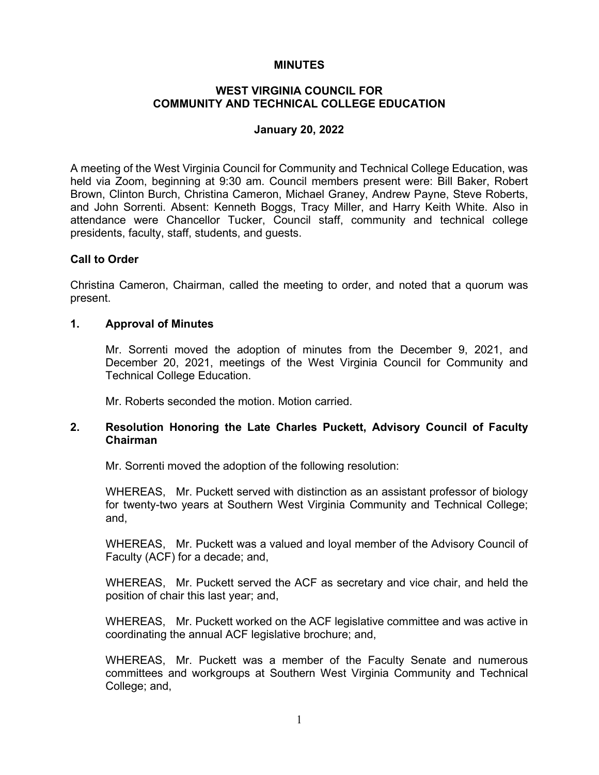### **MINUTES**

### **WEST VIRGINIA COUNCIL FOR COMMUNITY AND TECHNICAL COLLEGE EDUCATION**

#### **January 20, 2022**

A meeting of the West Virginia Council for Community and Technical College Education, was held via Zoom, beginning at 9:30 am. Council members present were: Bill Baker, Robert Brown, Clinton Burch, Christina Cameron, Michael Graney, Andrew Payne, Steve Roberts, and John Sorrenti. Absent: Kenneth Boggs, Tracy Miller, and Harry Keith White. Also in attendance were Chancellor Tucker, Council staff, community and technical college presidents, faculty, staff, students, and guests.

### **Call to Order**

Christina Cameron, Chairman, called the meeting to order, and noted that a quorum was present.

#### **1. Approval of Minutes**

Mr. Sorrenti moved the adoption of minutes from the December 9, 2021, and December 20, 2021, meetings of the West Virginia Council for Community and Technical College Education.

Mr. Roberts seconded the motion. Motion carried.

### **2. Resolution Honoring the Late Charles Puckett, Advisory Council of Faculty Chairman**

Mr. Sorrenti moved the adoption of the following resolution:

WHEREAS, Mr. Puckett served with distinction as an assistant professor of biology for twenty-two years at Southern West Virginia Community and Technical College; and,

WHEREAS, Mr. Puckett was a valued and loyal member of the Advisory Council of Faculty (ACF) for a decade; and,

WHEREAS, Mr. Puckett served the ACF as secretary and vice chair, and held the position of chair this last year; and,

WHEREAS, Mr. Puckett worked on the ACF legislative committee and was active in coordinating the annual ACF legislative brochure; and,

WHEREAS, Mr. Puckett was a member of the Faculty Senate and numerous committees and workgroups at Southern West Virginia Community and Technical College; and,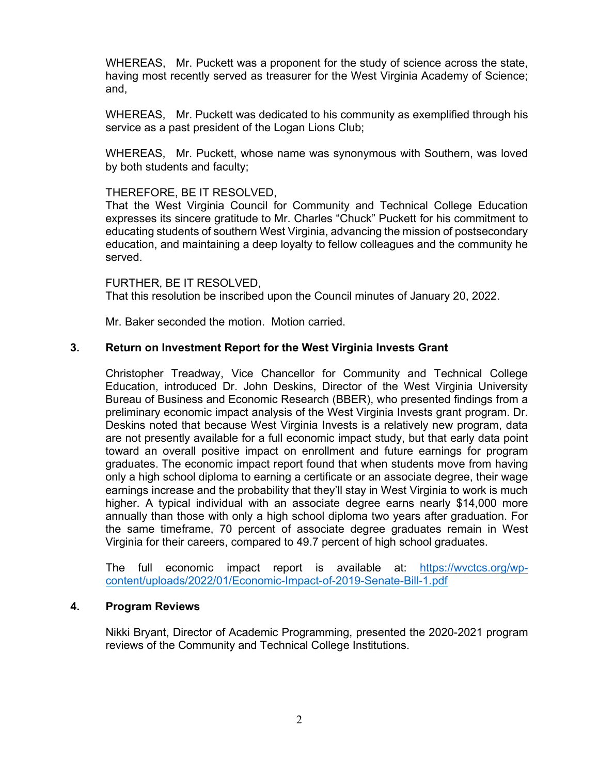WHEREAS, Mr. Puckett was a proponent for the study of science across the state, having most recently served as treasurer for the West Virginia Academy of Science; and,

WHEREAS, Mr. Puckett was dedicated to his community as exemplified through his service as a past president of the Logan Lions Club;

WHEREAS, Mr. Puckett, whose name was synonymous with Southern, was loved by both students and faculty;

### THEREFORE, BE IT RESOLVED,

That the West Virginia Council for Community and Technical College Education expresses its sincere gratitude to Mr. Charles "Chuck" Puckett for his commitment to educating students of southern West Virginia, advancing the mission of postsecondary education, and maintaining a deep loyalty to fellow colleagues and the community he served.

FURTHER, BE IT RESOLVED, That this resolution be inscribed upon the Council minutes of January 20, 2022.

Mr. Baker seconded the motion. Motion carried.

### **3. Return on Investment Report for the West Virginia Invests Grant**

Christopher Treadway, Vice Chancellor for Community and Technical College Education, introduced Dr. John Deskins, Director of the West Virginia University Bureau of Business and Economic Research (BBER), who presented findings from a preliminary economic impact analysis of the West Virginia Invests grant program. Dr. Deskins noted that because West Virginia Invests is a relatively new program, data are not presently available for a full economic impact study, but that early data point toward an overall positive impact on enrollment and future earnings for program graduates. The economic impact report found that when students move from having only a high school diploma to earning a certificate or an associate degree, their wage earnings increase and the probability that they'll stay in West Virginia to work is much higher. A typical individual with an associate degree earns nearly \$14,000 more annually than those with only a high school diploma two years after graduation. For the same timeframe, 70 percent of associate degree graduates remain in West Virginia for their careers, compared to 49.7 percent of high school graduates.

The full economic impact report is available at: [https://wvctcs.org/wp](https://wvctcs.org/wp-content/uploads/2022/01/Economic-Impact-of-2019-Senate-Bill-1.pdf)[content/uploads/2022/01/Economic-Impact-of-2019-Senate-Bill-1.pdf](https://wvctcs.org/wp-content/uploads/2022/01/Economic-Impact-of-2019-Senate-Bill-1.pdf)

#### **4. Program Reviews**

Nikki Bryant, Director of Academic Programming, presented the 2020-2021 program reviews of the Community and Technical College Institutions.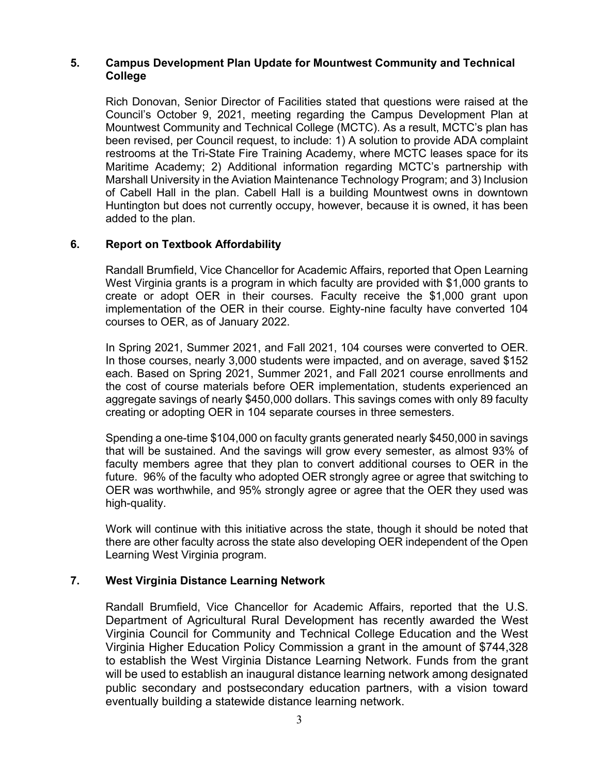### **5. Campus Development Plan Update for Mountwest Community and Technical College**

Rich Donovan, Senior Director of Facilities stated that questions were raised at the Council's October 9, 2021, meeting regarding the Campus Development Plan at Mountwest Community and Technical College (MCTC). As a result, MCTC's plan has been revised, per Council request, to include: 1) A solution to provide ADA complaint restrooms at the Tri-State Fire Training Academy, where MCTC leases space for its Maritime Academy; 2) Additional information regarding MCTC's partnership with Marshall University in the Aviation Maintenance Technology Program; and 3) Inclusion of Cabell Hall in the plan. Cabell Hall is a building Mountwest owns in downtown Huntington but does not currently occupy, however, because it is owned, it has been added to the plan.

# **6. Report on Textbook Affordability**

Randall Brumfield, Vice Chancellor for Academic Affairs, reported that Open Learning West Virginia grants is a program in which faculty are provided with \$1,000 grants to create or adopt OER in their courses. Faculty receive the \$1,000 grant upon implementation of the OER in their course. Eighty-nine faculty have converted 104 courses to OER, as of January 2022.

In Spring 2021, Summer 2021, and Fall 2021, 104 courses were converted to OER. In those courses, nearly 3,000 students were impacted, and on average, saved \$152 each. Based on Spring 2021, Summer 2021, and Fall 2021 course enrollments and the cost of course materials before OER implementation, students experienced an aggregate savings of nearly \$450,000 dollars. This savings comes with only 89 faculty creating or adopting OER in 104 separate courses in three semesters.

Spending a one-time \$104,000 on faculty grants generated nearly \$450,000 in savings that will be sustained. And the savings will grow every semester, as almost 93% of faculty members agree that they plan to convert additional courses to OER in the future. 96% of the faculty who adopted OER strongly agree or agree that switching to OER was worthwhile, and 95% strongly agree or agree that the OER they used was high-quality.

Work will continue with this initiative across the state, though it should be noted that there are other faculty across the state also developing OER independent of the Open Learning West Virginia program.

# **7. West Virginia Distance Learning Network**

Randall Brumfield, Vice Chancellor for Academic Affairs, reported that the U.S. Department of Agricultural Rural Development has recently awarded the West Virginia Council for Community and Technical College Education and the West Virginia Higher Education Policy Commission a grant in the amount of \$744,328 to establish the West Virginia Distance Learning Network. Funds from the grant will be used to establish an inaugural distance learning network among designated public secondary and postsecondary education partners, with a vision toward eventually building a statewide distance learning network.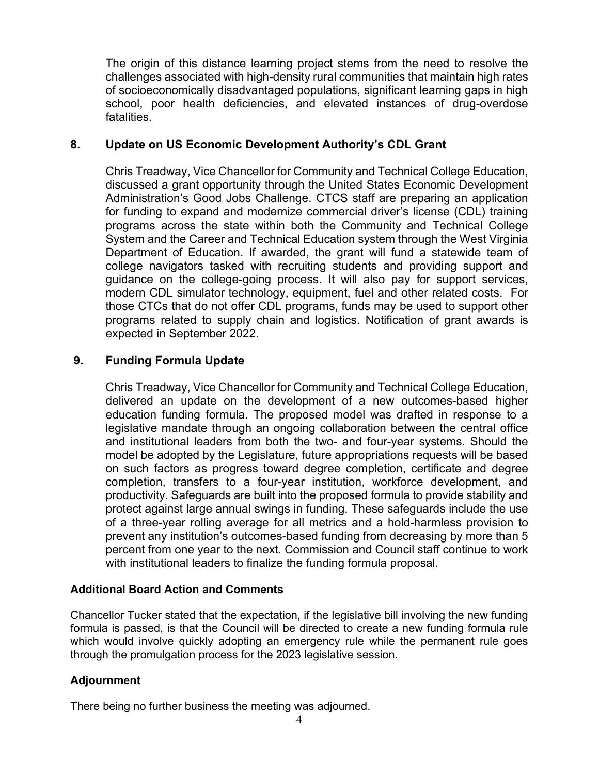The origin of this distance learning project stems from the need to resolve the challenges associated with high-density rural communities that maintain high rates of socioeconomically disadvantaged populations, significant learning gaps in high school, poor health deficiencies, and elevated instances of drug-overdose fatalities.

# **8. Update on US Economic Development Authority's CDL Grant**

Chris Treadway, Vice Chancellor for Community and Technical College Education, discussed a grant opportunity through the United States Economic Development Administration's Good Jobs Challenge. CTCS staff are preparing an application for funding to expand and modernize commercial driver's license (CDL) training programs across the state within both the Community and Technical College System and the Career and Technical Education system through the West Virginia Department of Education. If awarded, the grant will fund a statewide team of college navigators tasked with recruiting students and providing support and guidance on the college-going process. It will also pay for support services, modern CDL simulator technology, equipment, fuel and other related costs. For those CTCs that do not offer CDL programs, funds may be used to support other programs related to supply chain and logistics. Notification of grant awards is expected in September 2022.

# **9. Funding Formula Update**

Chris Treadway, Vice Chancellor for Community and Technical College Education, delivered an update on the development of a new outcomes-based higher education funding formula. The proposed model was drafted in response to a legislative mandate through an ongoing collaboration between the central office and institutional leaders from both the two- and four-year systems. Should the model be adopted by the Legislature, future appropriations requests will be based on such factors as progress toward degree completion, certificate and degree completion, transfers to a four-year institution, workforce development, and productivity. Safeguards are built into the proposed formula to provide stability and protect against large annual swings in funding. These safeguards include the use of a three-year rolling average for all metrics and a hold-harmless provision to prevent any institution's outcomes-based funding from decreasing by more than 5 percent from one year to the next. Commission and Council staff continue to work with institutional leaders to finalize the funding formula proposal.

# **Additional Board Action and Comments**

Chancellor Tucker stated that the expectation, if the legislative bill involving the new funding formula is passed, is that the Council will be directed to create a new funding formula rule which would involve quickly adopting an emergency rule while the permanent rule goes through the promulgation process for the 2023 legislative session.

# **Adjournment**

There being no further business the meeting was adjourned.